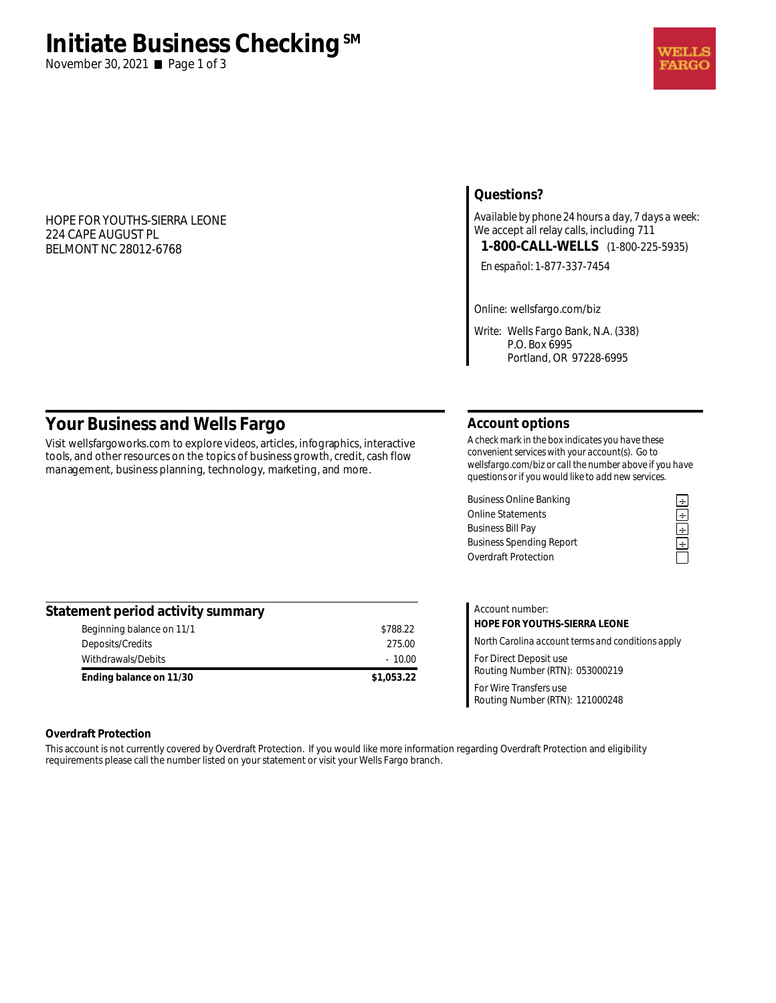# **Initiate Business Checking**<sup>SM</sup>

November 30, 2021 **■** Page 1 of 3

## HOPE FOR YOUTHS-SIERRA LEONE 224 CAPE AUGUST PL BELMONT NC 28012-6768

# **Questions?**

*Available by phone 24 hours a day, 7 days a week:*  We accept all relay calls, including 711 **1-800-CALL-WELLS** (1-800-225-5935)

*En español:* 1-877-337-7454

*Online:* wellsfargo.com/biz

*Write:* Wells Fargo Bank, N.A. (338) P.O. Box 6995 Portland, OR 97228-6995

# **Your Business and Wells Fargo**

Visit wellsfargoworks.com to explore videos, articles, infographics, interactive tools, and other resources on the topics of business growth, credit, cash flow management, business planning, technology, marketing, and more.

# **Account options**

*A check mark in the box indicates you have these convenient services with your account(s). Go to wellsfargo.com/biz or call the number above if you have questions or if you would like to add new services.* 

Business Online Banking<br>
Online Statements<br>
Business Bill Pay<br> **Example 2**<br>
Business Spending Report<br> **Example 2**<br> **Example 2**<br> **Example 2**<br> **Example 2**<br> **Example 2**<br> **Example 2** Online Statements **÷ Business Bill Pay Business Spending Report** Overdraft Protection

| Statement period activity summary |            |
|-----------------------------------|------------|
| Beginning balance on 11/1         | \$788.22   |
| Deposits/Credits                  | 275.00     |
| Withdrawals/Debits                | $-10.00$   |
| Ending balance on 11/30           | \$1,053.22 |

| Account number:                                           |  |  |
|-----------------------------------------------------------|--|--|
| HOPE FOR YOUTHS-SIERRA LEONE                              |  |  |
| North Carolina account terms and conditions apply         |  |  |
| For Direct Deposit use<br>Routing Number (RTN): 053000219 |  |  |
| For Wire Transfers use<br>Routing Number (RTN): 121000248 |  |  |

## **Overdraft Protection**

This account is not currently covered by Overdraft Protection. If you would like more information regarding Overdraft Protection and eligibility requirements please call the number listed on your statement or visit your Wells Fargo branch.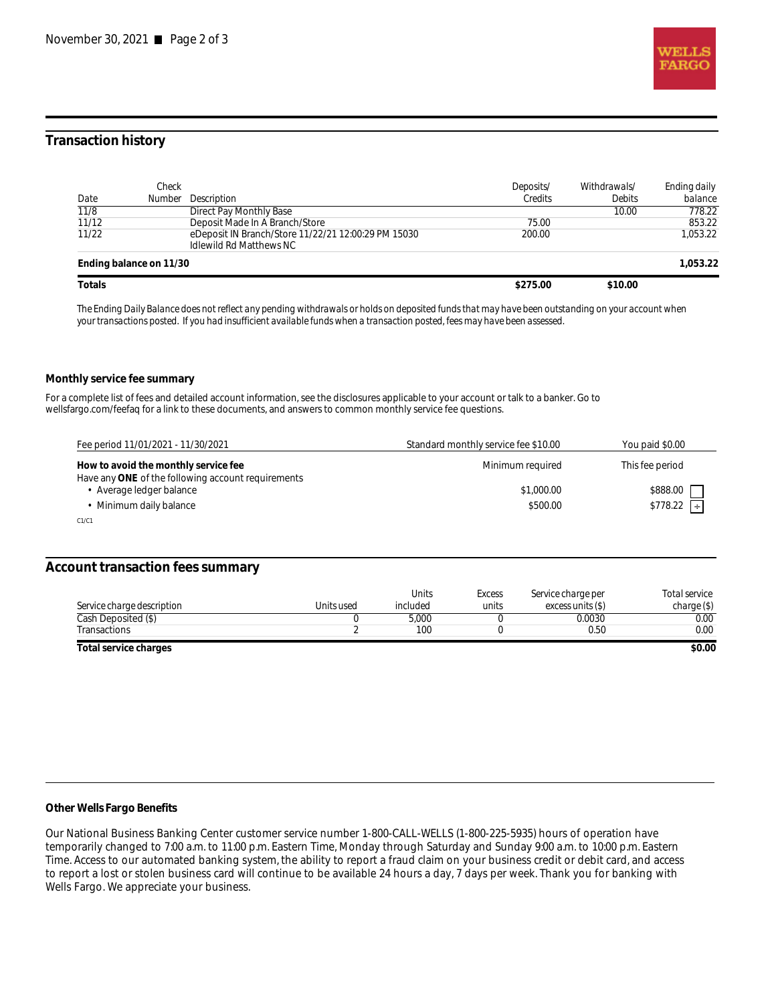

# **Transaction history**

|        | Check                   |                                                     | Deposits/ | Withdrawals/  | Ending daily |
|--------|-------------------------|-----------------------------------------------------|-----------|---------------|--------------|
| Date   |                         | Number Description                                  | Credits   | <b>Debits</b> | balance      |
| 11/8   |                         | Direct Pay Monthly Base                             |           | 10.00         | 778.22       |
| 11/12  |                         | Deposit Made In A Branch/Store                      | 75.00     |               | 853.22       |
| 11/22  |                         | eDeposit IN Branch/Store 11/22/21 12:00:29 PM 15030 | 200.00    |               | 1.053.22     |
|        |                         | <b>Idlewild Rd Matthews NC</b>                      |           |               |              |
|        | Ending balance on 11/30 |                                                     |           |               | 1.053.22     |
| Totals |                         |                                                     | \$275.00  | \$10.00       |              |

*The Ending Daily Balance does not reflect any pending withdrawals or holds on deposited funds that may have been outstanding on your account when your transactions posted. If you had insufficient available funds when a transaction posted, fees may have been assessed.* 

#### **Monthly service fee summary**

For a complete list of fees and detailed account information, see the disclosures applicable to your account or talk to a banker. Go to wellsfargo.com/feefaq for a link to these documents, and answers to common monthly service fee questions.

| Fee period 11/01/2021 - 11/30/2021                                                         | Standard monthly service fee \$10.00 | You paid \$0.00 |
|--------------------------------------------------------------------------------------------|--------------------------------------|-----------------|
| How to avoid the monthly service fee<br>Have any ONE of the following account requirements | Minimum required                     | This fee period |
| Average ledger balance                                                                     | \$1,000.00                           | \$888.00        |
| Minimum daily balance                                                                      | \$500.00                             | $$778.22$ ÷     |
| C1/C1                                                                                      |                                      |                 |

# **Account transaction fees summary**

|                                   |            | <b>Units</b> | Excess | Service charge per | Total service |
|-----------------------------------|------------|--------------|--------|--------------------|---------------|
| <i>Service charge description</i> | Units used | included     | units  | excess units (S)   | charge (\$)   |
| Cash Deposited (\$)               |            | 5,000        |        | 0.0030             | 0.00          |
| Transactions                      |            | 100          |        | 0.50               | 0.00          |
| Total service charges             |            |              |        |                    | \$0.00        |

#### **Other Wells Fargo Benefits**

Our National Business Banking Center customer service number 1-800-CALL-WELLS (1-800-225-5935) hours of operation have temporarily changed to 7:00 a.m. to 11:00 p.m. Eastern Time, Monday through Saturday and Sunday 9:00 a.m. to 10:00 p.m. Eastern Time. Access to our automated banking system, the ability to report a fraud claim on your business credit or debit card, and access to report a lost or stolen business card will continue to be available 24 hours a day, 7 days per week. Thank you for banking with Wells Fargo. We appreciate your business.